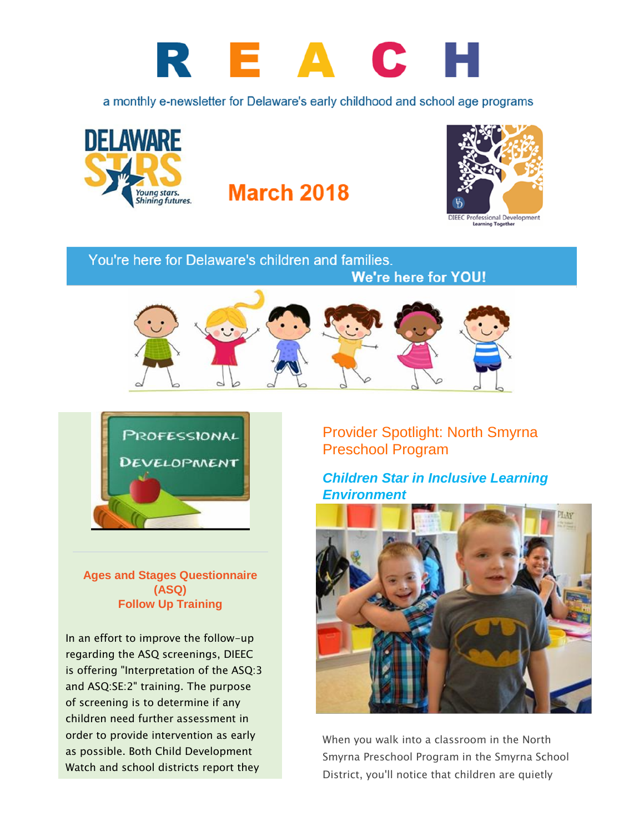

a monthly e-newsletter for Delaware's early childhood and school age programs



**March 2018** 



**Learning Together** 

## You're here for Delaware's children and families.





**Ages and Stages Questionnaire (ASQ) Follow Up Training**

In an effort to improve the follow-up regarding the ASQ screenings, DIEEC is offering "Interpretation of the ASQ:3 and ASQ:SE:2" training. The purpose of screening is to determine if any children need further assessment in order to provide intervention as early as possible. Both Child Development Watch and school districts report they

## Provider Spotlight: North Smyrna Preschool Program

**We're here for YOU!** 

*Children Star in Inclusive Learning Environment*



When you walk into a classroom in the North Smyrna Preschool Program in the Smyrna School District, you'll notice that children are quietly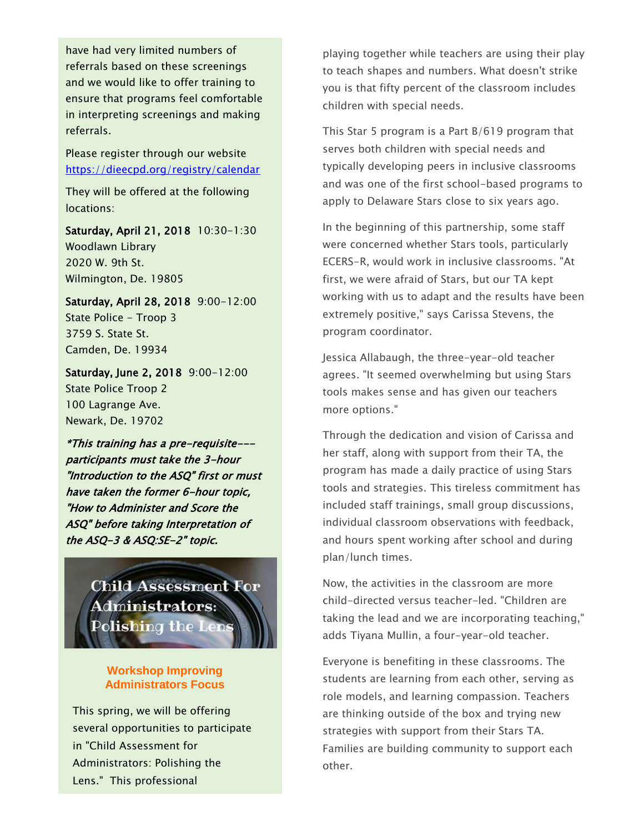have had very limited numbers of referrals based on these screenings and we would like to offer training to ensure that programs feel comfortable in interpreting screenings and making referrals.

Please register through our website <https://dieecpd.org/registry/calendar>

They will be offered at the following locations:

Saturday, April 21, 2018 10:30-1:30 Woodlawn Library 2020 W. 9th St. Wilmington, De. 19805

Saturday, April 28, 2018 9:00-12:00 State Police - Troop 3 3759 S. State St. Camden, De. 19934

Saturday, June 2, 2018 9:00-12:00 State Police Troop 2 100 Lagrange Ave. Newark, De. 19702

\*This training has a pre-requisite-- participants must take the 3-hour "Introduction to the ASQ" first or must have taken the former 6-hour topic, "How to Administer and Score the ASQ" before taking Interpretation of the ASQ-3 & ASQ:SE-2" topic.

> **Child Assessment For** Administrators: Polishing the Lens

#### **Workshop Improving Administrators Focus**

This spring, we will be offering several opportunities to participate in "Child Assessment for Administrators: Polishing the Lens." This professional

playing together while teachers are using their play to teach shapes and numbers. What doesn't strike you is that fifty percent of the classroom includes children with special needs.

This Star 5 program is a Part B/619 program that serves both children with special needs and typically developing peers in inclusive classrooms and was one of the first school-based programs to apply to Delaware Stars close to six years ago.

In the beginning of this partnership, some staff were concerned whether Stars tools, particularly ECERS-R, would work in inclusive classrooms. "At first, we were afraid of Stars, but our TA kept working with us to adapt and the results have been extremely positive," says Carissa Stevens, the program coordinator.

Jessica Allabaugh, the three-year-old teacher agrees. "It seemed overwhelming but using Stars tools makes sense and has given our teachers more options."

Through the dedication and vision of Carissa and her staff, along with support from their TA, the program has made a daily practice of using Stars tools and strategies. This tireless commitment has included staff trainings, small group discussions, individual classroom observations with feedback, and hours spent working after school and during plan/lunch times.

Now, the activities in the classroom are more child-directed versus teacher-led. "Children are taking the lead and we are incorporating teaching," adds Tiyana Mullin, a four-year-old teacher.

Everyone is benefiting in these classrooms. The students are learning from each other, serving as role models, and learning compassion. Teachers are thinking outside of the box and trying new strategies with support from their Stars TA. Families are building community to support each other.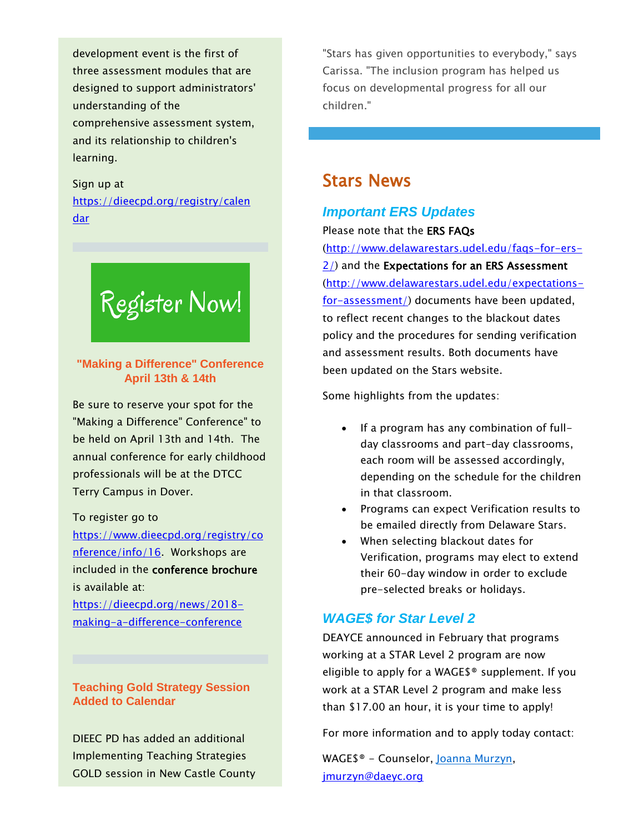development event is the first of three assessment modules that are designed to support administrators' understanding of the comprehensive assessment system, and its relationship to children's learning.

Sign up at [https://dieecpd.org/registry/calen](https://dieecpd.org/registry/calendar) [dar](https://dieecpd.org/registry/calendar)

# Register Now!

**"Making a Difference" Conference April 13th & 14th**

Be sure to reserve your spot for the "Making a Difference" Conference" to be held on April 13th and 14th. The annual conference for early childhood professionals will be at the DTCC Terry Campus in Dover.

#### To register go to

[https://www.dieecpd.org/registry/co](https://www.dieecpd.org/registry/conference/info/16) [nference/info/16.](https://www.dieecpd.org/registry/conference/info/16) Workshops are included in the conference brochure is available at:

[https://dieecpd.org/news/2018](https://dieecpd.org/news/2018-making-a-difference-conference) [making-a-difference-conference](https://dieecpd.org/news/2018-making-a-difference-conference)

#### **Teaching Gold Strategy Session Added to Calendar**

DIEEC PD has added an additional Implementing Teaching Strategies GOLD session in New Castle County "Stars has given opportunities to everybody," says Carissa. "The inclusion program has helped us focus on developmental progress for all our children."

## Stars News

#### *Important ERS Updates*

Please note that the ERS FAQs

[\(http://www.delawarestars.udel.edu/faqs-for-ers-](http://www.delawarestars.udel.edu/faqs-for-ers-2/)[2/\)](http://www.delawarestars.udel.edu/faqs-for-ers-2/) and the Expectations for an ERS Assessment [\(http://www.delawarestars.udel.edu/expectations](http://www.delawarestars.udel.edu/expectations-for-assessment/)[for-assessment/\)](http://www.delawarestars.udel.edu/expectations-for-assessment/) documents have been updated, to reflect recent changes to the blackout dates policy and the procedures for sending verification and assessment results. Both documents have been updated on the Stars website.

Some highlights from the updates:

- If a program has any combination of fullday classrooms and part-day classrooms, each room will be assessed accordingly, depending on the schedule for the children in that classroom.
- Programs can expect Verification results to be emailed directly from Delaware Stars.
- When selecting blackout dates for Verification, programs may elect to extend their 60-day window in order to exclude pre-selected breaks or holidays.

#### *WAGE\$ for Star Level 2*

DEAYCE announced in February that programs working at a STAR Level 2 program are now eligible to apply for a WAGE\$® supplement. If you work at a STAR Level 2 program and make less than \$17.00 an hour, it is your time to apply!

For more information and to apply today contact:

WAGE\$® - Counselor, [Joanna Murzyn,](mailto:jmurzyn@daeyc.org) [jmurzyn@daeyc.org](mailto:jmurzyn@daeyc.org)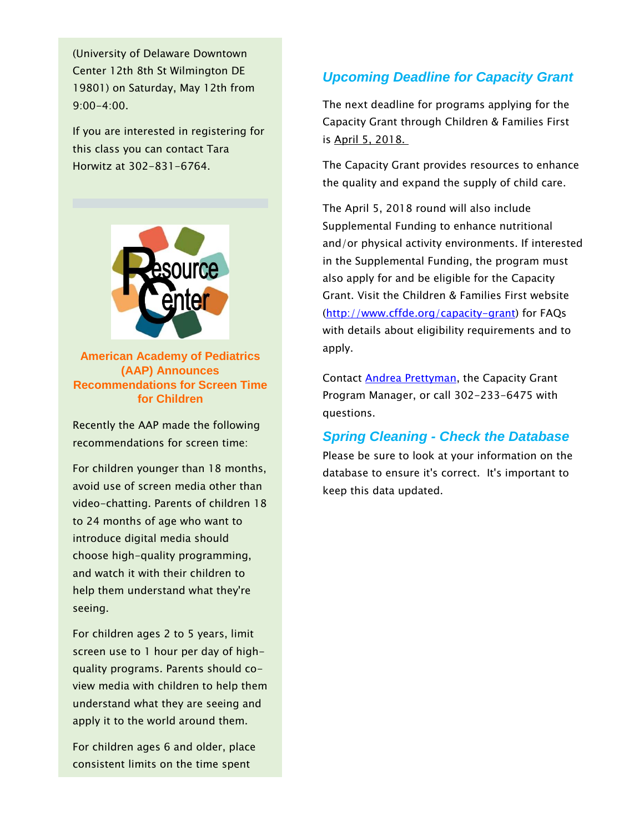(University of Delaware Downtown Center 12th 8th St Wilmington DE 19801) on Saturday, May 12th from 9:00-4:00.

If you are interested in registering for this class you can contact Tara Horwitz at 302-831-6764.



**American Academy of Pediatrics (AAP) Announces Recommendations for Screen Time for Children**

Recently the AAP made the following recommendations for screen time:

For children younger than 18 months, avoid use of screen media other than video-chatting. Parents of children 18 to 24 months of age who want to introduce digital media should choose high-quality programming, and watch it with their children to help them understand what they're seeing.

For children ages 2 to 5 years, limit screen use to 1 hour per day of highquality programs. Parents should coview media with children to help them understand what they are seeing and apply it to the world around them.

For children ages 6 and older, place consistent limits on the time spent

### *Upcoming Deadline for Capacity Grant*

The next deadline for programs applying for the Capacity Grant through Children & Families First is April 5, 2018.

The Capacity Grant provides resources to enhance the quality and expand the supply of child care.

The April 5, 2018 round will also include Supplemental Funding to enhance nutritional and/or physical activity environments. If interested in the Supplemental Funding, the program must also apply for and be eligible for the Capacity Grant. Visit the Children & Families First website [\(http://www.cffde.org/capacity-grant\)](http://www.cffde.org/capacity-grant) for FAQs with details about eligibility requirements and to apply.

Contact **Andrea Prettyman**, the Capacity Grant Program Manager, or call 302-233-6475 with questions.

#### *Spring Cleaning - Check the Database*

Please be sure to look at your information on the database to ensure it's correct. It's important to keep this data updated.